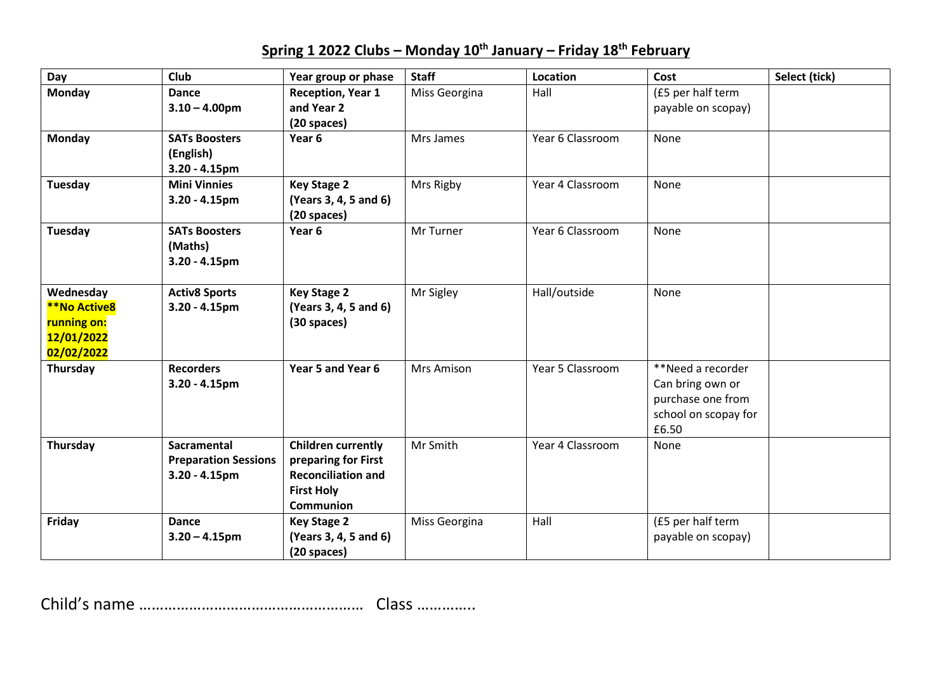## **Spring 1 2022 Clubs – Monday 10th January – Friday 18th February**

| Day                                                                         | Club                                                           | Year group or phase                                                                                                    | <b>Staff</b>  | Location         | Cost                                                                                        | Select (tick) |
|-----------------------------------------------------------------------------|----------------------------------------------------------------|------------------------------------------------------------------------------------------------------------------------|---------------|------------------|---------------------------------------------------------------------------------------------|---------------|
| <b>Monday</b>                                                               | <b>Dance</b><br>$3.10 - 4.00$ pm                               | <b>Reception, Year 1</b><br>and Year 2<br>(20 spaces)                                                                  | Miss Georgina | Hall             | (£5 per half term<br>payable on scopay)                                                     |               |
| <b>Monday</b>                                                               | <b>SATs Boosters</b><br>(English)<br>$3.20 - 4.15$ pm          | Year 6                                                                                                                 | Mrs James     | Year 6 Classroom | None                                                                                        |               |
| <b>Tuesday</b>                                                              | <b>Mini Vinnies</b><br>$3.20 - 4.15$ pm                        | <b>Key Stage 2</b><br>(Years 3, 4, 5 and 6)<br>(20 spaces)                                                             | Mrs Rigby     | Year 4 Classroom | None                                                                                        |               |
| Tuesday                                                                     | <b>SATs Boosters</b><br>(Maths)<br>$3.20 - 4.15$ pm            | Year 6                                                                                                                 | Mr Turner     | Year 6 Classroom | None                                                                                        |               |
| Wednesday<br><b>**No Active8</b><br>running on:<br>12/01/2022<br>02/02/2022 | <b>Activ8 Sports</b><br>$3.20 - 4.15$ pm                       | <b>Key Stage 2</b><br>(Years 3, 4, 5 and 6)<br>(30 spaces)                                                             | Mr Sigley     | Hall/outside     | None                                                                                        |               |
| Thursday                                                                    | <b>Recorders</b><br>$3.20 - 4.15$ pm                           | Year 5 and Year 6                                                                                                      | Mrs Amison    | Year 5 Classroom | **Need a recorder<br>Can bring own or<br>purchase one from<br>school on scopay for<br>£6.50 |               |
| Thursday                                                                    | Sacramental<br><b>Preparation Sessions</b><br>$3.20 - 4.15$ pm | <b>Children currently</b><br>preparing for First<br><b>Reconciliation and</b><br><b>First Holy</b><br><b>Communion</b> | Mr Smith      | Year 4 Classroom | None                                                                                        |               |
| Friday                                                                      | Dance<br>$3.20 - 4.15$ pm                                      | <b>Key Stage 2</b><br>(Years 3, 4, 5 and 6)<br>(20 spaces)                                                             | Miss Georgina | Hall             | (£5 per half term<br>payable on scopay)                                                     |               |

Child's name ……………………………………………… Class …………..